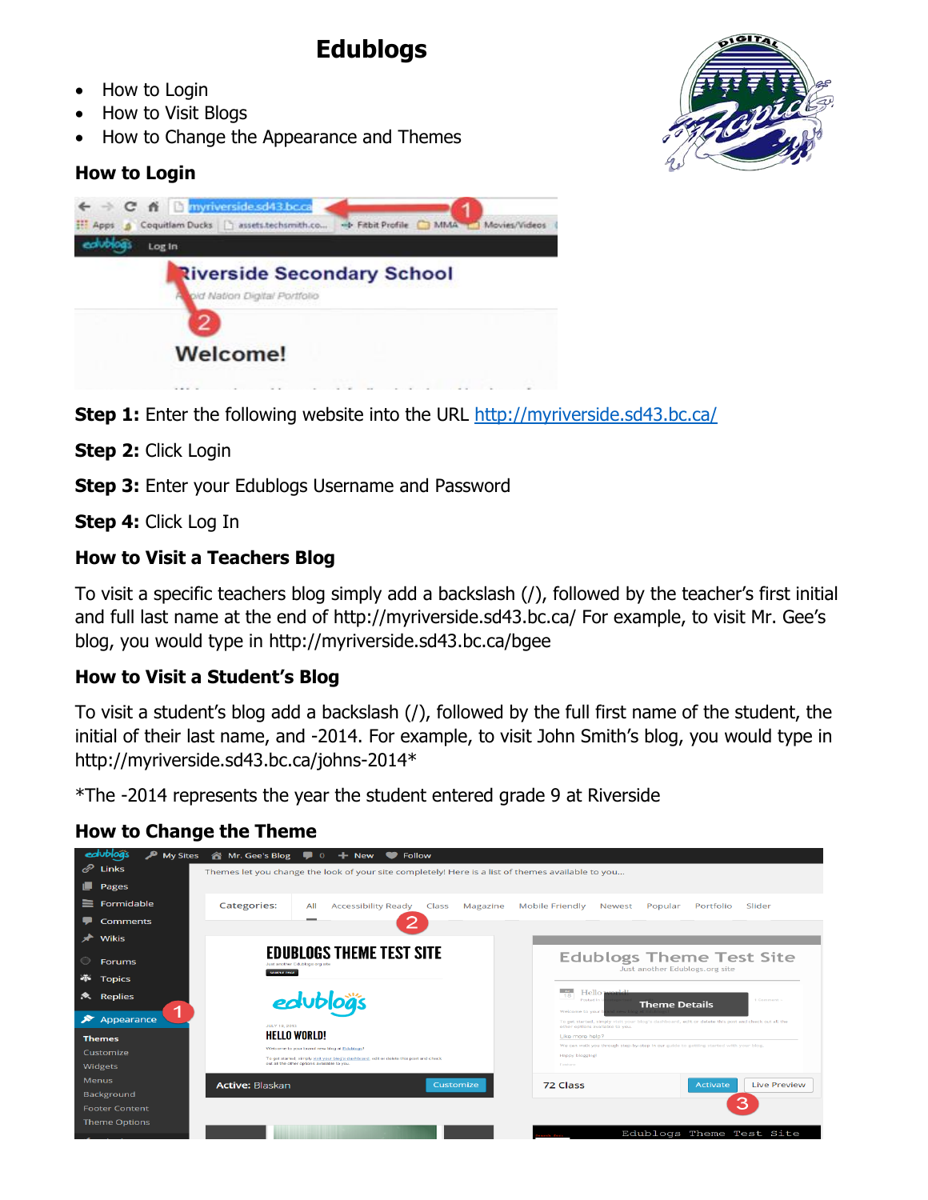# **Edublogs**

- How to Login
- How to Visit Blogs
- How to Change the Appearance and Themes

## **How to Login**



**Step 1:** Enter the following website into the URL<http://myriverside.sd43.bc.ca/>

**Step 2:** Click Login

**Step 3:** Enter your Edublogs Username and Password

**Step 4:** Click Log In

## **How to Visit a Teachers Blog**

To visit a specific teachers blog simply add a backslash (/), followed by the teacher's first initial and full last name at the end of<http://myriverside.sd43.bc.ca/> For example, to visit Mr. Gee's blog, you would type in<http://myriverside.sd43.bc.ca/bgee>

#### **How to Visit a Student's Blog**

To visit a student's blog add a backslash (/), followed by the full first name of the student, the initial of their last name, and -2014. For example, to visit John Smith's blog, you would type in [http://myriverside.sd43.bc.ca/johns-2014\\*](http://myriverside.sd43.bc.ca/johns-2014)

\*The -2014 represents the year the student entered grade 9 at Riverside

## **How to Change the Theme**